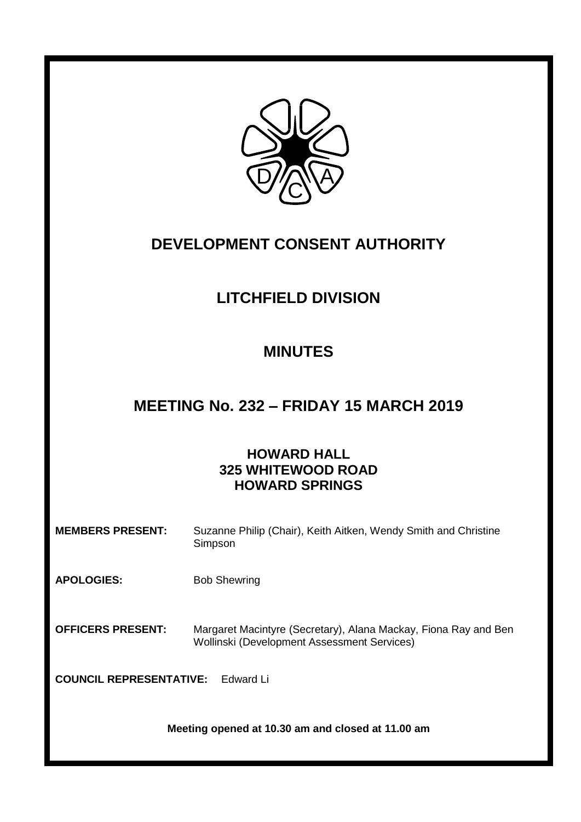

# **DEVELOPMENT CONSENT AUTHORITY**

# **LITCHFIELD DIVISION**

# **MINUTES**

# **MEETING No. 232 – FRIDAY 15 MARCH 2019**

# **HOWARD HALL 325 WHITEWOOD ROAD HOWARD SPRINGS**

| <b>MEMBERS PRESENT:</b>                           | Suzanne Philip (Chair), Keith Aitken, Wendy Smith and Christine<br>Simpson                                     |  |
|---------------------------------------------------|----------------------------------------------------------------------------------------------------------------|--|
| <b>APOLOGIES:</b>                                 | <b>Bob Shewring</b>                                                                                            |  |
| <b>OFFICERS PRESENT:</b>                          | Margaret Macintyre (Secretary), Alana Mackay, Fiona Ray and Ben<br>Wollinski (Development Assessment Services) |  |
| <b>COUNCIL REPRESENTATIVE:</b><br>Fdward Li       |                                                                                                                |  |
| Meeting opened at 10.30 am and closed at 11.00 am |                                                                                                                |  |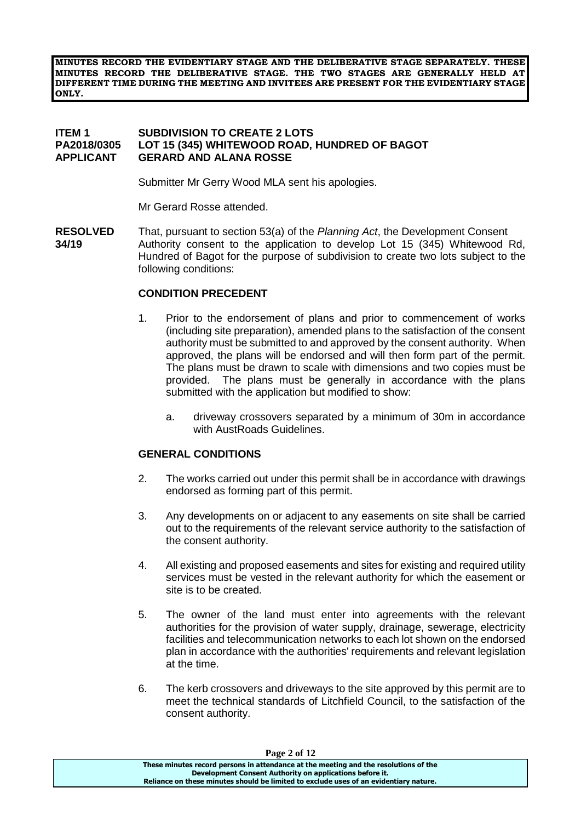**MINUTES RECORD THE EVIDENTIARY STAGE AND THE DELIBERATIVE STAGE SEPARATELY. THESE MINUTES RECORD THE DELIBERATIVE STAGE. THE TWO STAGES ARE GENERALLY HELD AT DIFFERENT TIME DURING THE MEETING AND INVITEES ARE PRESENT FOR THE EVIDENTIARY STAGE ONLY.**

#### **ITEM 1 SUBDIVISION TO CREATE 2 LOTS LOT 15 (345) WHITEWOOD ROAD, HUNDRED OF BAGOT APPLICANT GERARD AND ALANA ROSSE**

Submitter Mr Gerry Wood MLA sent his apologies.

Mr Gerard Rosse attended.

**RESOLVED** That, pursuant to section 53(a) of the *Planning Act*, the Development Consent **34/19** Authority consent to the application to develop Lot 15 (345) Whitewood Rd, Hundred of Bagot for the purpose of subdivision to create two lots subject to the following conditions:

#### **CONDITION PRECEDENT**

- 1. Prior to the endorsement of plans and prior to commencement of works (including site preparation), amended plans to the satisfaction of the consent authority must be submitted to and approved by the consent authority. When approved, the plans will be endorsed and will then form part of the permit. The plans must be drawn to scale with dimensions and two copies must be provided. The plans must be generally in accordance with the plans submitted with the application but modified to show:
	- a. driveway crossovers separated by a minimum of 30m in accordance with AustRoads Guidelines.

#### **GENERAL CONDITIONS**

- 2. The works carried out under this permit shall be in accordance with drawings endorsed as forming part of this permit.
- 3. Any developments on or adjacent to any easements on site shall be carried out to the requirements of the relevant service authority to the satisfaction of the consent authority.
- 4. All existing and proposed easements and sites for existing and required utility services must be vested in the relevant authority for which the easement or site is to be created.
- 5. The owner of the land must enter into agreements with the relevant authorities for the provision of water supply, drainage, sewerage, electricity facilities and telecommunication networks to each lot shown on the endorsed plan in accordance with the authorities' requirements and relevant legislation at the time.
- 6. The kerb crossovers and driveways to the site approved by this permit are to meet the technical standards of Litchfield Council, to the satisfaction of the consent authority.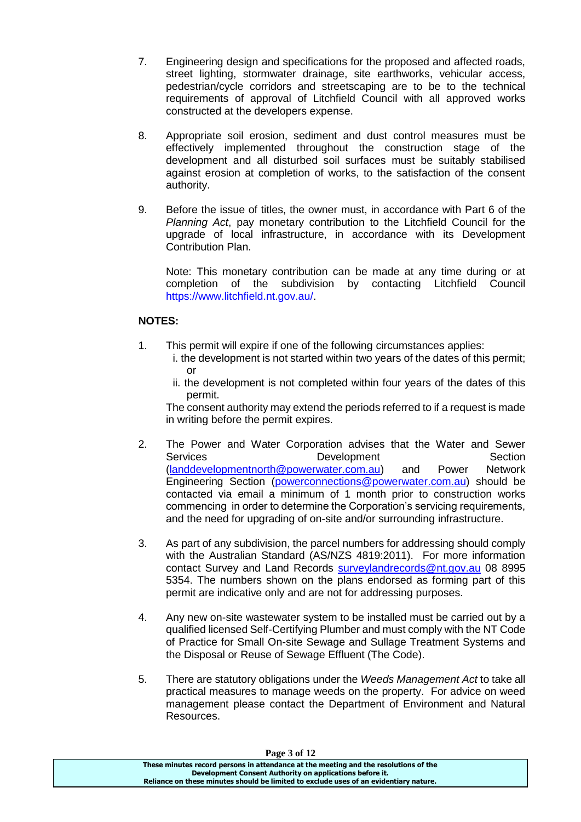- 7. Engineering design and specifications for the proposed and affected roads, street lighting, stormwater drainage, site earthworks, vehicular access, pedestrian/cycle corridors and streetscaping are to be to the technical requirements of approval of Litchfield Council with all approved works constructed at the developers expense.
- 8. Appropriate soil erosion, sediment and dust control measures must be effectively implemented throughout the construction stage of the development and all disturbed soil surfaces must be suitably stabilised against erosion at completion of works, to the satisfaction of the consent authority.
- 9. Before the issue of titles, the owner must, in accordance with Part 6 of the *Planning Act*, pay monetary contribution to the Litchfield Council for the upgrade of local infrastructure, in accordance with its Development Contribution Plan.

Note: This monetary contribution can be made at any time during or at completion of the subdivision by contacting Litchfield Council [https://www.litchfield.nt.gov.au/.](https://www.litchfield.nt.gov.au/)

# **NOTES:**

- 1. This permit will expire if one of the following circumstances applies:
	- i. the development is not started within two years of the dates of this permit; or
	- ii. the development is not completed within four years of the dates of this permit.

The consent authority may extend the periods referred to if a request is made in writing before the permit expires.

- 2. The Power and Water Corporation advises that the Water and Sewer Services **Development** Development Section [\(landdevelopmentnorth@powerwater.com.au\)](mailto:landdevelopmentnorth@powerwater.com.au) and Power Network Engineering Section [\(powerconnections@powerwater.com.au\)](mailto:powerconnections@powerwater.com.au) should be contacted via email a minimum of 1 month prior to construction works commencing in order to determine the Corporation's servicing requirements, and the need for upgrading of on-site and/or surrounding infrastructure.
- 3. As part of any subdivision, the parcel numbers for addressing should comply with the Australian Standard (AS/NZS 4819:2011). For more information contact Survey and Land Records [surveylandrecords@nt.gov.au](mailto:surveylandrecords@nt.gov.au) 08 8995 5354. The numbers shown on the plans endorsed as forming part of this permit are indicative only and are not for addressing purposes.
- 4. Any new on-site wastewater system to be installed must be carried out by a qualified licensed Self-Certifying Plumber and must comply with the NT Code of Practice for Small On-site Sewage and Sullage Treatment Systems and the Disposal or Reuse of Sewage Effluent (The Code).
- 5. There are statutory obligations under the *Weeds Management Act* to take all practical measures to manage weeds on the property. For advice on weed management please contact the Department of Environment and Natural Resources.

**Page 3 of 12**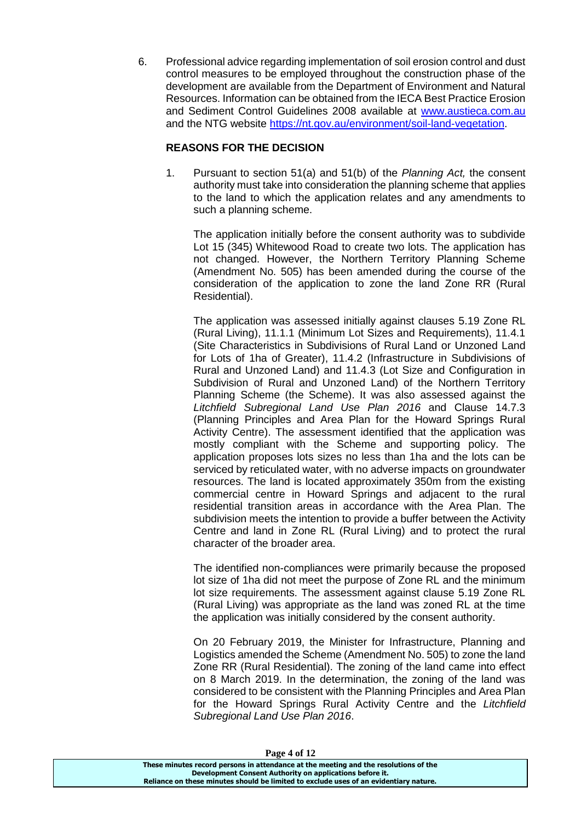6. Professional advice regarding implementation of soil erosion control and dust control measures to be employed throughout the construction phase of the development are available from the Department of Environment and Natural Resources. Information can be obtained from the IECA Best Practice Erosion and Sediment Control Guidelines 2008 available at [www.austieca.com.au](http://www.austieca.com.au/) and the NTG website [https://nt.gov.au/environment/soil-land-vegetation.](https://nt.gov.au/environment/soil-land-vegetation)

# **REASONS FOR THE DECISION**

1. Pursuant to section 51(a) and 51(b) of the *Planning Act,* the consent authority must take into consideration the planning scheme that applies to the land to which the application relates and any amendments to such a planning scheme.

The application initially before the consent authority was to subdivide Lot 15 (345) Whitewood Road to create two lots. The application has not changed. However, the Northern Territory Planning Scheme (Amendment No. 505) has been amended during the course of the consideration of the application to zone the land Zone RR (Rural Residential).

The application was assessed initially against clauses 5.19 Zone RL (Rural Living), 11.1.1 (Minimum Lot Sizes and Requirements), 11.4.1 (Site Characteristics in Subdivisions of Rural Land or Unzoned Land for Lots of 1ha of Greater), 11.4.2 (Infrastructure in Subdivisions of Rural and Unzoned Land) and 11.4.3 (Lot Size and Configuration in Subdivision of Rural and Unzoned Land) of the Northern Territory Planning Scheme (the Scheme). It was also assessed against the *Litchfield Subregional Land Use Plan 2016* and Clause 14.7.3 (Planning Principles and Area Plan for the Howard Springs Rural Activity Centre). The assessment identified that the application was mostly compliant with the Scheme and supporting policy. The application proposes lots sizes no less than 1ha and the lots can be serviced by reticulated water, with no adverse impacts on groundwater resources. The land is located approximately 350m from the existing commercial centre in Howard Springs and adjacent to the rural residential transition areas in accordance with the Area Plan. The subdivision meets the intention to provide a buffer between the Activity Centre and land in Zone RL (Rural Living) and to protect the rural character of the broader area.

The identified non-compliances were primarily because the proposed lot size of 1ha did not meet the purpose of Zone RL and the minimum lot size requirements. The assessment against clause 5.19 Zone RL (Rural Living) was appropriate as the land was zoned RL at the time the application was initially considered by the consent authority.

On 20 February 2019, the Minister for Infrastructure, Planning and Logistics amended the Scheme (Amendment No. 505) to zone the land Zone RR (Rural Residential). The zoning of the land came into effect on 8 March 2019. In the determination, the zoning of the land was considered to be consistent with the Planning Principles and Area Plan for the Howard Springs Rural Activity Centre and the *Litchfield Subregional Land Use Plan 2016*.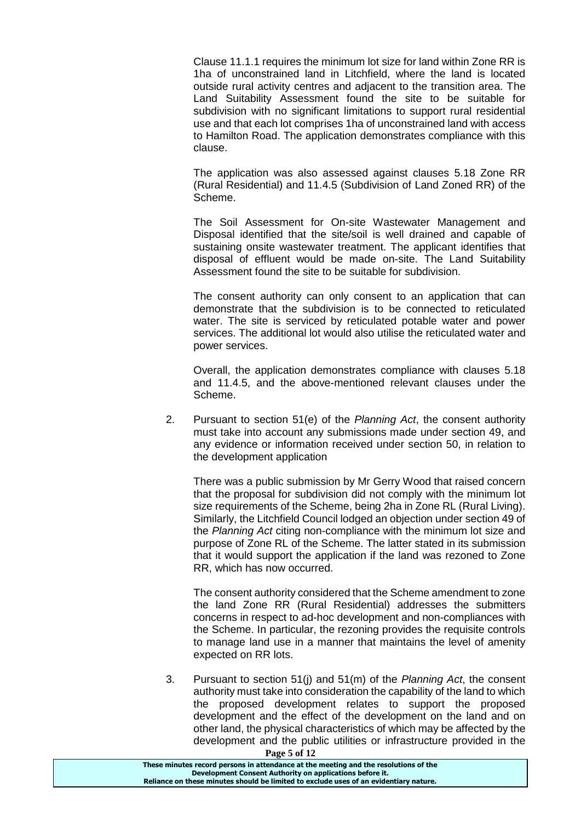Clause 11.1.1 requires the minimum lot size for land within Zone RR is 1ha of unconstrained land in Litchfield, where the land is located outside rural activity centres and adjacent to the transition area. The Land Suitability Assessment found the site to be suitable for subdivision with no significant limitations to support rural residential use and that each lot comprises 1ha of unconstrained land with access to Hamilton Road. The application demonstrates compliance with this clause.

The application was also assessed against clauses 5.18 Zone RR (Rural Residential) and 11.4.5 (Subdivision of Land Zoned RR) of the Scheme.

The Soil Assessment for On-site Wastewater Management and Disposal identified that the site/soil is well drained and capable of sustaining onsite wastewater treatment. The applicant identifies that disposal of effluent would be made on-site. The Land Suitability Assessment found the site to be suitable for subdivision.

The consent authority can only consent to an application that can demonstrate that the subdivision is to be connected to reticulated water. The site is serviced by reticulated potable water and power services. The additional lot would also utilise the reticulated water and power services.

Overall, the application demonstrates compliance with clauses 5.18 and 11.4.5, and the above-mentioned relevant clauses under the Scheme.

2. Pursuant to section 51(e) of the *Planning Act*, the consent authority must take into account any submissions made under section 49, and any evidence or information received under section 50, in relation to the development application

There was a public submission by Mr Gerry Wood that raised concern that the proposal for subdivision did not comply with the minimum lot size requirements of the Scheme, being 2ha in Zone RL (Rural Living). Similarly, the Litchfield Council lodged an objection under section 49 of the *Planning Act* citing non-compliance with the minimum lot size and purpose of Zone RL of the Scheme. The latter stated in its submission that it would support the application if the land was rezoned to Zone RR, which has now occurred.

The consent authority considered that the Scheme amendment to zone the land Zone RR (Rural Residential) addresses the submitters concerns in respect to ad-hoc development and non-compliances with the Scheme. In particular, the rezoning provides the requisite controls to manage land use in a manner that maintains the level of amenity expected on RR lots.

**Page 5 of 12** 3. Pursuant to section 51(j) and 51(m) of the *Planning Act*, the consent authority must take into consideration the capability of the land to which the proposed development relates to support the proposed development and the effect of the development on the land and on other land, the physical characteristics of which may be affected by the development and the public utilities or infrastructure provided in the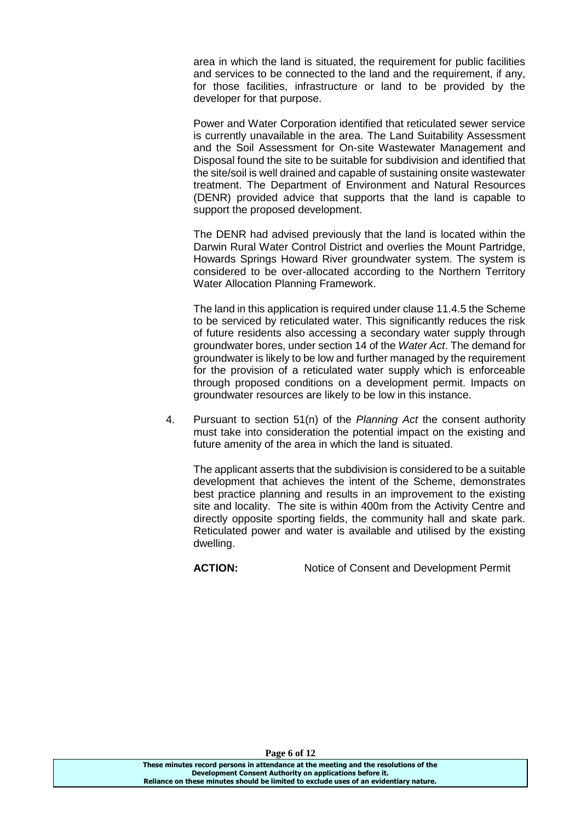area in which the land is situated, the requirement for public facilities and services to be connected to the land and the requirement, if any, for those facilities, infrastructure or land to be provided by the developer for that purpose.

Power and Water Corporation identified that reticulated sewer service is currently unavailable in the area. The Land Suitability Assessment and the Soil Assessment for On-site Wastewater Management and Disposal found the site to be suitable for subdivision and identified that the site/soil is well drained and capable of sustaining onsite wastewater treatment. The Department of Environment and Natural Resources (DENR) provided advice that supports that the land is capable to support the proposed development.

The DENR had advised previously that the land is located within the Darwin Rural Water Control District and overlies the Mount Partridge, Howards Springs Howard River groundwater system. The system is considered to be over-allocated according to the Northern Territory Water Allocation Planning Framework.

The land in this application is required under clause 11.4.5 the Scheme to be serviced by reticulated water. This significantly reduces the risk of future residents also accessing a secondary water supply through groundwater bores, under section 14 of the *Water Act*. The demand for groundwater is likely to be low and further managed by the requirement for the provision of a reticulated water supply which is enforceable through proposed conditions on a development permit. Impacts on groundwater resources are likely to be low in this instance.

4. Pursuant to section 51(n) of the *Planning Act* the consent authority must take into consideration the potential impact on the existing and future amenity of the area in which the land is situated.

The applicant asserts that the subdivision is considered to be a suitable development that achieves the intent of the Scheme, demonstrates best practice planning and results in an improvement to the existing site and locality. The site is within 400m from the Activity Centre and directly opposite sporting fields, the community hall and skate park. Reticulated power and water is available and utilised by the existing dwelling.

**ACTION:** Notice of Consent and Development Permit

**Page 6 of 12**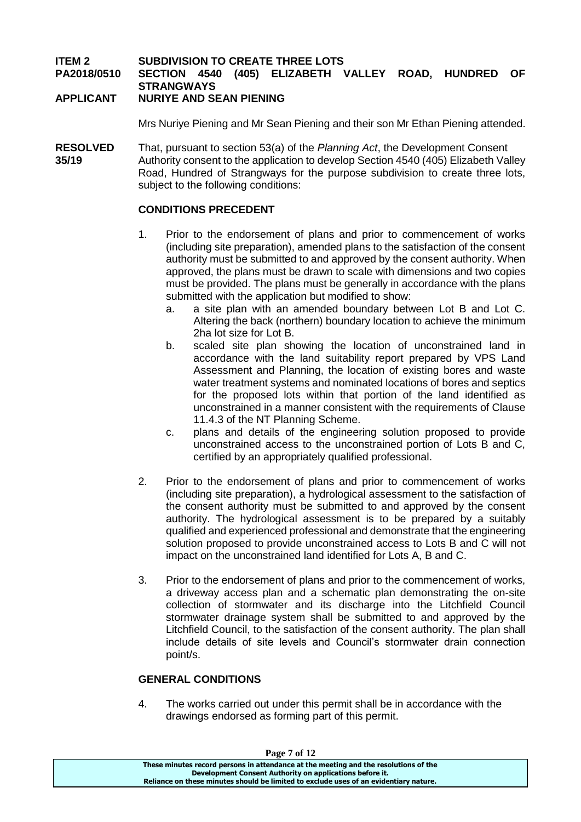# **ITEM 2 SUBDIVISION TO CREATE THREE LOTS PA2018/0510 SECTION 4540 (405) ELIZABETH VALLEY ROAD, HUNDRED OF STRANGWAYS**

### **APPLICANT NURIYE AND SEAN PIENING**

Mrs Nuriye Piening and Mr Sean Piening and their son Mr Ethan Piening attended.

**RESOLVED** That, pursuant to section 53(a) of the *Planning Act*, the Development Consent **35/19** Authority consent to the application to develop Section 4540 (405) Elizabeth Valley Road, Hundred of Strangways for the purpose subdivision to create three lots, subject to the following conditions:

#### **CONDITIONS PRECEDENT**

- 1. Prior to the endorsement of plans and prior to commencement of works (including site preparation), amended plans to the satisfaction of the consent authority must be submitted to and approved by the consent authority. When approved, the plans must be drawn to scale with dimensions and two copies must be provided. The plans must be generally in accordance with the plans submitted with the application but modified to show:
	- a. a site plan with an amended boundary between Lot B and Lot C. Altering the back (northern) boundary location to achieve the minimum 2ha lot size for Lot B.
	- b. scaled site plan showing the location of unconstrained land in accordance with the land suitability report prepared by VPS Land Assessment and Planning, the location of existing bores and waste water treatment systems and nominated locations of bores and septics for the proposed lots within that portion of the land identified as unconstrained in a manner consistent with the requirements of Clause 11.4.3 of the NT Planning Scheme.
	- c. plans and details of the engineering solution proposed to provide unconstrained access to the unconstrained portion of Lots B and C, certified by an appropriately qualified professional.
- 2. Prior to the endorsement of plans and prior to commencement of works (including site preparation), a hydrological assessment to the satisfaction of the consent authority must be submitted to and approved by the consent authority. The hydrological assessment is to be prepared by a suitably qualified and experienced professional and demonstrate that the engineering solution proposed to provide unconstrained access to Lots B and C will not impact on the unconstrained land identified for Lots A, B and C.
- 3. Prior to the endorsement of plans and prior to the commencement of works, a driveway access plan and a schematic plan demonstrating the on-site collection of stormwater and its discharge into the Litchfield Council stormwater drainage system shall be submitted to and approved by the Litchfield Council, to the satisfaction of the consent authority. The plan shall include details of site levels and Council's stormwater drain connection point/s.

#### **GENERAL CONDITIONS**

4. The works carried out under this permit shall be in accordance with the drawings endorsed as forming part of this permit.

| Page 7 of 12                                                                          |  |
|---------------------------------------------------------------------------------------|--|
| These minutes record persons in attendance at the meeting and the resolutions of the  |  |
| Development Consent Authority on applications before it.                              |  |
| Reliance on these minutes should be limited to exclude uses of an evidentiary nature. |  |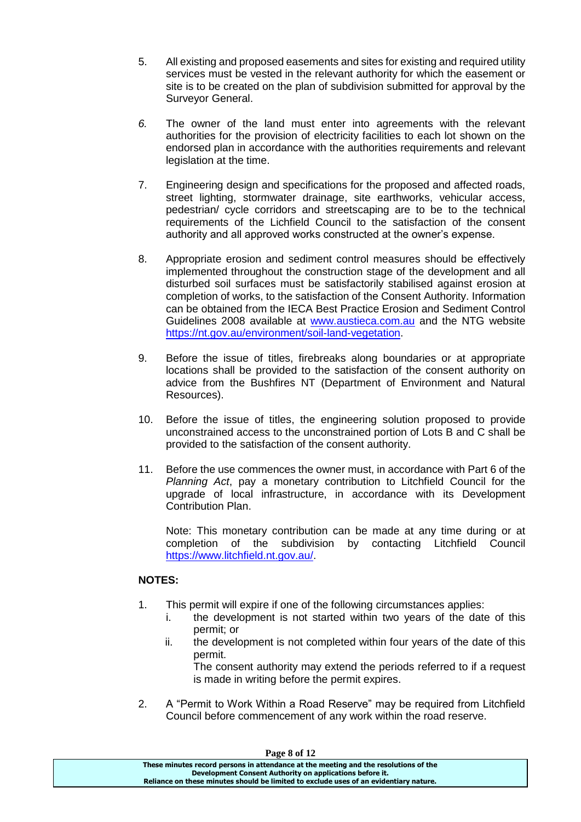- 5. All existing and proposed easements and sites for existing and required utility services must be vested in the relevant authority for which the easement or site is to be created on the plan of subdivision submitted for approval by the Surveyor General.
- *6.* The owner of the land must enter into agreements with the relevant authorities for the provision of electricity facilities to each lot shown on the endorsed plan in accordance with the authorities requirements and relevant legislation at the time.
- 7. Engineering design and specifications for the proposed and affected roads, street lighting, stormwater drainage, site earthworks, vehicular access, pedestrian/ cycle corridors and streetscaping are to be to the technical requirements of the Lichfield Council to the satisfaction of the consent authority and all approved works constructed at the owner's expense.
- 8. Appropriate erosion and sediment control measures should be effectively implemented throughout the construction stage of the development and all disturbed soil surfaces must be satisfactorily stabilised against erosion at completion of works, to the satisfaction of the Consent Authority. Information can be obtained from the IECA Best Practice Erosion and Sediment Control Guidelines 2008 available at [www.austieca.com.au](http://www.austieca.com.au/) and the NTG website [https://nt.gov.au/environment/soil-land-vegetation.](https://nt.gov.au/environment/soil-land-vegetation)
- 9. Before the issue of titles, firebreaks along boundaries or at appropriate locations shall be provided to the satisfaction of the consent authority on advice from the Bushfires NT (Department of Environment and Natural Resources).
- 10. Before the issue of titles, the engineering solution proposed to provide unconstrained access to the unconstrained portion of Lots B and C shall be provided to the satisfaction of the consent authority.
- 11. Before the use commences the owner must, in accordance with Part 6 of the *Planning Act*, pay a monetary contribution to Litchfield Council for the upgrade of local infrastructure, in accordance with its Development Contribution Plan.

Note: This monetary contribution can be made at any time during or at completion of the subdivision by contacting Litchfield Council [https://www.litchfield.nt.gov.au/.](https://www.litchfield.nt.gov.au/)

# **NOTES:**

- 1. This permit will expire if one of the following circumstances applies:
	- i. the development is not started within two years of the date of this permit; or
	- ii. the development is not completed within four years of the date of this permit.
		- The consent authority may extend the periods referred to if a request is made in writing before the permit expires.
- 2. A "Permit to Work Within a Road Reserve" may be required from Litchfield Council before commencement of any work within the road reserve.

| Page 8 of 12                                                                          |  |
|---------------------------------------------------------------------------------------|--|
| These minutes record persons in attendance at the meeting and the resolutions of the  |  |
| Development Consent Authority on applications before it.                              |  |
| Reliance on these minutes should be limited to exclude uses of an evidentiary nature. |  |
|                                                                                       |  |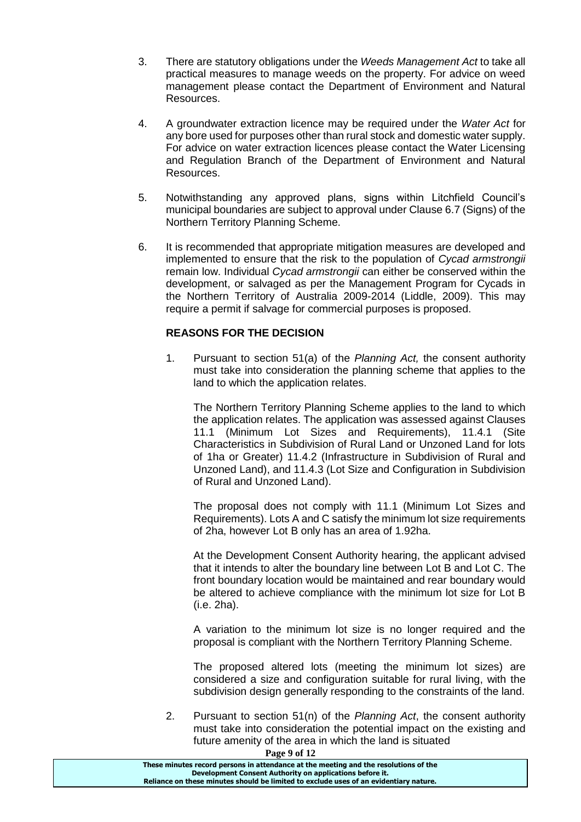- 3. There are statutory obligations under the *Weeds Management Act* to take all practical measures to manage weeds on the property. For advice on weed management please contact the Department of Environment and Natural Resources.
- 4. A groundwater extraction licence may be required under the *Water Act* for any bore used for purposes other than rural stock and domestic water supply. For advice on water extraction licences please contact the Water Licensing and Regulation Branch of the Department of Environment and Natural Resources.
- 5. Notwithstanding any approved plans, signs within Litchfield Council's municipal boundaries are subject to approval under Clause 6.7 (Signs) of the Northern Territory Planning Scheme.
- 6. It is recommended that appropriate mitigation measures are developed and implemented to ensure that the risk to the population of *Cycad armstrongii* remain low. Individual *Cycad armstrongii* can either be conserved within the development, or salvaged as per the Management Program for Cycads in the Northern Territory of Australia 2009-2014 (Liddle, 2009). This may require a permit if salvage for commercial purposes is proposed.

# **REASONS FOR THE DECISION**

1. Pursuant to section 51(a) of the *Planning Act,* the consent authority must take into consideration the planning scheme that applies to the land to which the application relates.

The Northern Territory Planning Scheme applies to the land to which the application relates. The application was assessed against Clauses 11.1 (Minimum Lot Sizes and Requirements), 11.4.1 (Site Characteristics in Subdivision of Rural Land or Unzoned Land for lots of 1ha or Greater) 11.4.2 (Infrastructure in Subdivision of Rural and Unzoned Land), and 11.4.3 (Lot Size and Configuration in Subdivision of Rural and Unzoned Land).

The proposal does not comply with 11.1 (Minimum Lot Sizes and Requirements). Lots A and C satisfy the minimum lot size requirements of 2ha, however Lot B only has an area of 1.92ha.

At the Development Consent Authority hearing, the applicant advised that it intends to alter the boundary line between Lot B and Lot C. The front boundary location would be maintained and rear boundary would be altered to achieve compliance with the minimum lot size for Lot B (i.e. 2ha).

A variation to the minimum lot size is no longer required and the proposal is compliant with the Northern Territory Planning Scheme.

The proposed altered lots (meeting the minimum lot sizes) are considered a size and configuration suitable for rural living, with the subdivision design generally responding to the constraints of the land.

2. Pursuant to section 51(n) of the *Planning Act*, the consent authority must take into consideration the potential impact on the existing and future amenity of the area in which the land is situated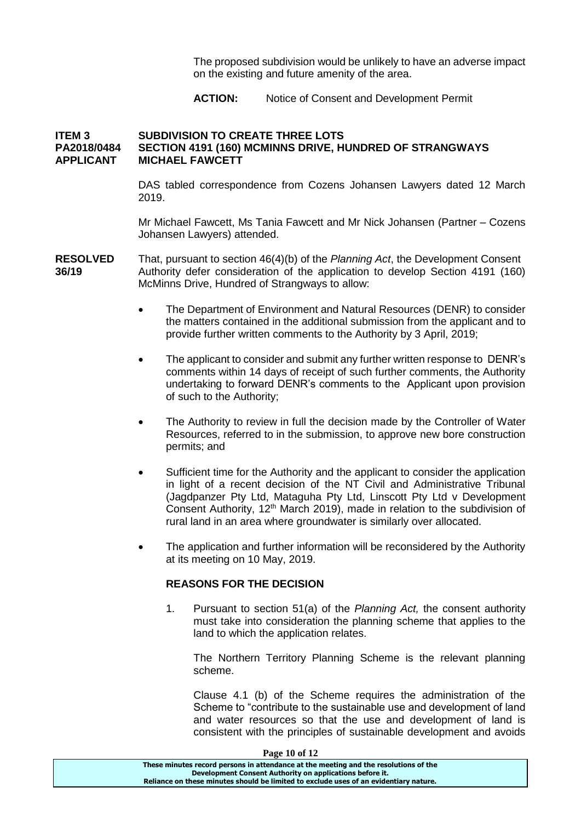The proposed subdivision would be unlikely to have an adverse impact on the existing and future amenity of the area.

**ACTION:** Notice of Consent and Development Permit

### **ITEM 3 SUBDIVISION TO CREATE THREE LOTS PA2018/0484 SECTION 4191 (160) MCMINNS DRIVE, HUNDRED OF STRANGWAYS APPLICANT MICHAEL FAWCETT**

DAS tabled correspondence from Cozens Johansen Lawyers dated 12 March 2019.

Mr Michael Fawcett, Ms Tania Fawcett and Mr Nick Johansen (Partner – Cozens Johansen Lawyers) attended.

- **RESOLVED** That, pursuant to section 46(4)(b) of the *Planning Act*, the Development Consent **36/19** Authority defer consideration of the application to develop Section 4191 (160) McMinns Drive, Hundred of Strangways to allow:
	- The Department of Environment and Natural Resources (DENR) to consider the matters contained in the additional submission from the applicant and to provide further written comments to the Authority by 3 April, 2019;
	- The applicant to consider and submit any further written response to DENR's comments within 14 days of receipt of such further comments, the Authority undertaking to forward DENR's comments to the Applicant upon provision of such to the Authority;
	- The Authority to review in full the decision made by the Controller of Water Resources, referred to in the submission, to approve new bore construction permits; and
	- Sufficient time for the Authority and the applicant to consider the application in light of a recent decision of the NT Civil and Administrative Tribunal (Jagdpanzer Pty Ltd, Mataguha Pty Ltd, Linscott Pty Ltd v Development Consent Authority, 12<sup>th</sup> March 2019), made in relation to the subdivision of rural land in an area where groundwater is similarly over allocated.
	- The application and further information will be reconsidered by the Authority at its meeting on 10 May, 2019.

#### **REASONS FOR THE DECISION**

1. Pursuant to section 51(a) of the *Planning Act,* the consent authority must take into consideration the planning scheme that applies to the land to which the application relates.

The Northern Territory Planning Scheme is the relevant planning scheme.

Clause 4.1 (b) of the Scheme requires the administration of the Scheme to "contribute to the sustainable use and development of land and water resources so that the use and development of land is consistent with the principles of sustainable development and avoids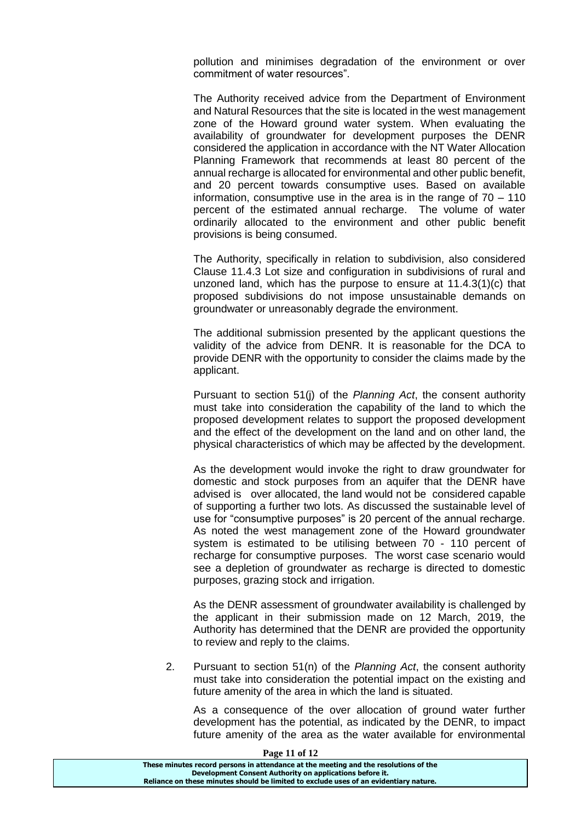pollution and minimises degradation of the environment or over commitment of water resources".

The Authority received advice from the Department of Environment and Natural Resources that the site is located in the west management zone of the Howard ground water system. When evaluating the availability of groundwater for development purposes the DENR considered the application in accordance with the NT Water Allocation Planning Framework that recommends at least 80 percent of the annual recharge is allocated for environmental and other public benefit, and 20 percent towards consumptive uses. Based on available information, consumptive use in the area is in the range of 70 – 110 percent of the estimated annual recharge. The volume of water ordinarily allocated to the environment and other public benefit provisions is being consumed.

The Authority, specifically in relation to subdivision, also considered Clause 11.4.3 Lot size and configuration in subdivisions of rural and unzoned land, which has the purpose to ensure at 11.4.3(1)(c) that proposed subdivisions do not impose unsustainable demands on groundwater or unreasonably degrade the environment.

The additional submission presented by the applicant questions the validity of the advice from DENR. It is reasonable for the DCA to provide DENR with the opportunity to consider the claims made by the applicant.

Pursuant to section 51(j) of the *Planning Act*, the consent authority must take into consideration the capability of the land to which the proposed development relates to support the proposed development and the effect of the development on the land and on other land, the physical characteristics of which may be affected by the development.

As the development would invoke the right to draw groundwater for domestic and stock purposes from an aquifer that the DENR have advised is over allocated, the land would not be considered capable of supporting a further two lots. As discussed the sustainable level of use for "consumptive purposes" is 20 percent of the annual recharge. As noted the west management zone of the Howard groundwater system is estimated to be utilising between 70 - 110 percent of recharge for consumptive purposes. The worst case scenario would see a depletion of groundwater as recharge is directed to domestic purposes, grazing stock and irrigation.

As the DENR assessment of groundwater availability is challenged by the applicant in their submission made on 12 March, 2019, the Authority has determined that the DENR are provided the opportunity to review and reply to the claims.

2. Pursuant to section 51(n) of the *Planning Act*, the consent authority must take into consideration the potential impact on the existing and future amenity of the area in which the land is situated.

As a consequence of the over allocation of ground water further development has the potential, as indicated by the DENR, to impact future amenity of the area as the water available for environmental